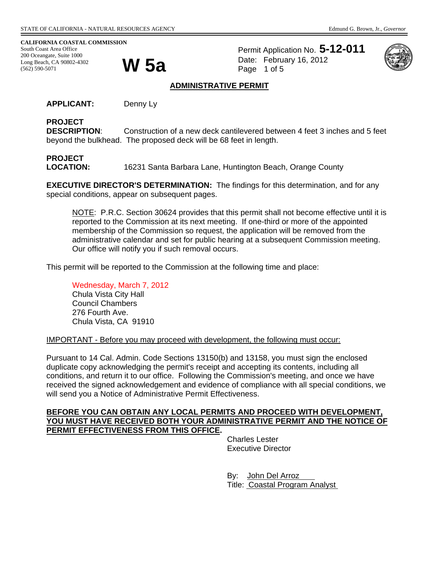**CALIFORNIA COASTAL COMMISSION**  South Coast Area Office 200 Oceangate, Suite 1000<br>Long Beach, CA 90802-4302<br>(562) 590-5071 Long Beach, CA 90802-4302 (562) 590-5071

Permit Application No. **5-12-011** Date: February 16, 2012 Page 1 of 5



#### **ADMINISTRATIVE PERMIT**

**APPLICANT:** Denny Ly

#### **PROJECT**

**DESCRIPTION**: Construction of a new deck cantilevered between 4 feet 3 inches and 5 feet beyond the bulkhead. The proposed deck will be 68 feet in length.

# **PROJECT**

**LOCATION:** 16231 Santa Barbara Lane, Huntington Beach, Orange County

**EXECUTIVE DIRECTOR'S DETERMINATION:** The findings for this determination, and for any special conditions, appear on subsequent pages.

NOTE: P.R.C. Section 30624 provides that this permit shall not become effective until it is reported to the Commission at its next meeting. If one-third or more of the appointed membership of the Commission so request, the application will be removed from the administrative calendar and set for public hearing at a subsequent Commission meeting. Our office will notify you if such removal occurs.

This permit will be reported to the Commission at the following time and place:

Wednesday, March 7, 2012 Chula Vista City Hall Council Chambers 276 Fourth Ave. Chula Vista, CA 91910

IMPORTANT - Before you may proceed with development, the following must occur:

Pursuant to 14 Cal. Admin. Code Sections 13150(b) and 13158, you must sign the enclosed duplicate copy acknowledging the permit's receipt and accepting its contents, including all conditions, and return it to our office. Following the Commission's meeting, and once we have received the signed acknowledgement and evidence of compliance with all special conditions, we will send you a Notice of Administrative Permit Effectiveness.

#### **BEFORE YOU CAN OBTAIN ANY LOCAL PERMITS AND PROCEED WITH DEVELOPMENT, YOU MUST HAVE RECEIVED BOTH YOUR ADMINISTRATIVE PERMIT AND THE NOTICE OF PERMIT EFFECTIVENESS FROM THIS OFFICE.**

 Charles Lester Executive Director

By: John Del Arroz Title: Coastal Program Analyst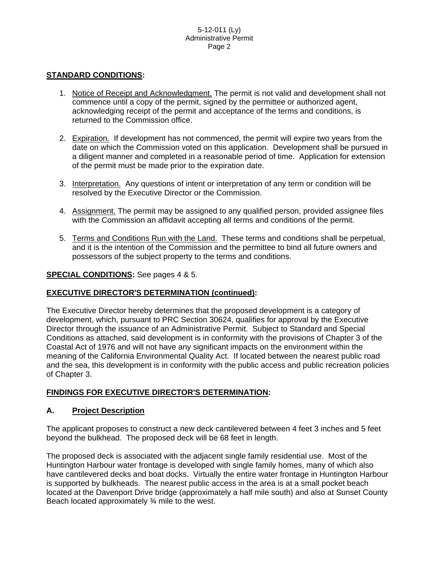#### **STANDARD CONDITIONS:**

- 1. Notice of Receipt and Acknowledgment. The permit is not valid and development shall not commence until a copy of the permit, signed by the permittee or authorized agent, acknowledging receipt of the permit and acceptance of the terms and conditions, is returned to the Commission office.
- 2. Expiration. If development has not commenced, the permit will expire two years from the date on which the Commission voted on this application. Development shall be pursued in a diligent manner and completed in a reasonable period of time. Application for extension of the permit must be made prior to the expiration date.
- 3. Interpretation. Any questions of intent or interpretation of any term or condition will be resolved by the Executive Director or the Commission.
- 4. Assignment. The permit may be assigned to any qualified person, provided assignee files with the Commission an affidavit accepting all terms and conditions of the permit.
- 5. Terms and Conditions Run with the Land. These terms and conditions shall be perpetual, and it is the intention of the Commission and the permittee to bind all future owners and possessors of the subject property to the terms and conditions.

#### **SPECIAL CONDITIONS:** See pages 4 & 5.

### **EXECUTIVE DIRECTOR'S DETERMINATION (continued):**

The Executive Director hereby determines that the proposed development is a category of development, which, pursuant to PRC Section 30624, qualifies for approval by the Executive Director through the issuance of an Administrative Permit. Subject to Standard and Special Conditions as attached, said development is in conformity with the provisions of Chapter 3 of the Coastal Act of 1976 and will not have any significant impacts on the environment within the meaning of the California Environmental Quality Act. If located between the nearest public road and the sea, this development is in conformity with the public access and public recreation policies of Chapter 3.

### **FINDINGS FOR EXECUTIVE DIRECTOR'S DETERMINATION:**

#### **A. Project Description**

The applicant proposes to construct a new deck cantilevered between 4 feet 3 inches and 5 feet beyond the bulkhead. The proposed deck will be 68 feet in length.

The proposed deck is associated with the adjacent single family residential use. Most of the Huntington Harbour water frontage is developed with single family homes, many of which also have cantilevered decks and boat docks. Virtually the entire water frontage in Huntington Harbour is supported by bulkheads. The nearest public access in the area is at a small pocket beach located at the Davenport Drive bridge (approximately a half mile south) and also at Sunset County Beach located approximately ¾ mile to the west.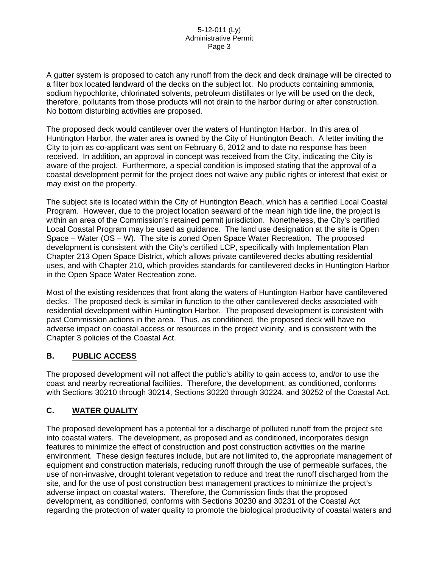A gutter system is proposed to catch any runoff from the deck and deck drainage will be directed to a filter box located landward of the decks on the subject lot. No products containing ammonia, sodium hypochlorite, chlorinated solvents, petroleum distillates or lye will be used on the deck, therefore, pollutants from those products will not drain to the harbor during or after construction. No bottom disturbing activities are proposed.

The proposed deck would cantilever over the waters of Huntington Harbor. In this area of Huntington Harbor, the water area is owned by the City of Huntington Beach. A letter inviting the City to join as co-applicant was sent on February 6, 2012 and to date no response has been received. In addition, an approval in concept was received from the City, indicating the City is aware of the project. Furthermore, a special condition is imposed stating that the approval of a coastal development permit for the project does not waive any public rights or interest that exist or may exist on the property.

The subject site is located within the City of Huntington Beach, which has a certified Local Coastal Program. However, due to the project location seaward of the mean high tide line, the project is within an area of the Commission's retained permit jurisdiction. Nonetheless, the City's certified Local Coastal Program may be used as guidance. The land use designation at the site is Open Space – Water (OS – W). The site is zoned Open Space Water Recreation. The proposed development is consistent with the City's certified LCP, specifically with Implementation Plan Chapter 213 Open Space District, which allows private cantilevered decks abutting residential uses, and with Chapter 210, which provides standards for cantilevered decks in Huntington Harbor in the Open Space Water Recreation zone.

Most of the existing residences that front along the waters of Huntington Harbor have cantilevered decks. The proposed deck is similar in function to the other cantilevered decks associated with residential development within Huntington Harbor. The proposed development is consistent with past Commission actions in the area. Thus, as conditioned, the proposed deck will have no adverse impact on coastal access or resources in the project vicinity, and is consistent with the Chapter 3 policies of the Coastal Act.

# **B. PUBLIC ACCESS**

The proposed development will not affect the public's ability to gain access to, and/or to use the coast and nearby recreational facilities. Therefore, the development, as conditioned, conforms with Sections 30210 through 30214, Sections 30220 through 30224, and 30252 of the Coastal Act.

# **C. WATER QUALITY**

The proposed development has a potential for a discharge of polluted runoff from the project site into coastal waters. The development, as proposed and as conditioned, incorporates design features to minimize the effect of construction and post construction activities on the marine environment. These design features include, but are not limited to, the appropriate management of equipment and construction materials, reducing runoff through the use of permeable surfaces, the use of non-invasive, drought tolerant vegetation to reduce and treat the runoff discharged from the site, and for the use of post construction best management practices to minimize the project's adverse impact on coastal waters. Therefore, the Commission finds that the proposed development, as conditioned, conforms with Sections 30230 and 30231 of the Coastal Act regarding the protection of water quality to promote the biological productivity of coastal waters and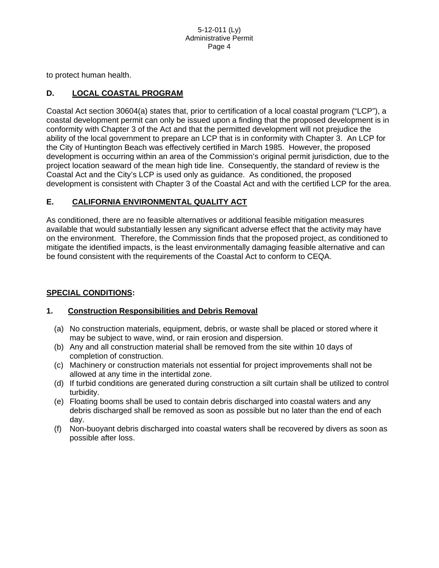to protect human health.

# **D. LOCAL COASTAL PROGRAM**

Coastal Act section 30604(a) states that, prior to certification of a local coastal program ("LCP"), a coastal development permit can only be issued upon a finding that the proposed development is in conformity with Chapter 3 of the Act and that the permitted development will not prejudice the ability of the local government to prepare an LCP that is in conformity with Chapter 3. An LCP for the City of Huntington Beach was effectively certified in March 1985. However, the proposed development is occurring within an area of the Commission's original permit jurisdiction, due to the project location seaward of the mean high tide line. Consequently, the standard of review is the Coastal Act and the City's LCP is used only as guidance. As conditioned, the proposed development is consistent with Chapter 3 of the Coastal Act and with the certified LCP for the area.

## **E. CALIFORNIA ENVIRONMENTAL QUALITY ACT**

As conditioned, there are no feasible alternatives or additional feasible mitigation measures available that would substantially lessen any significant adverse effect that the activity may have on the environment. Therefore, the Commission finds that the proposed project, as conditioned to mitigate the identified impacts, is the least environmentally damaging feasible alternative and can be found consistent with the requirements of the Coastal Act to conform to CEQA.

### **SPECIAL CONDITIONS:**

### **1. Construction Responsibilities and Debris Removal**

- (a) No construction materials, equipment, debris, or waste shall be placed or stored where it may be subject to wave, wind, or rain erosion and dispersion.
- (b) Any and all construction material shall be removed from the site within 10 days of completion of construction.
- (c) Machinery or construction materials not essential for project improvements shall not be allowed at any time in the intertidal zone.
- (d) If turbid conditions are generated during construction a silt curtain shall be utilized to control turbidity.
- (e) Floating booms shall be used to contain debris discharged into coastal waters and any debris discharged shall be removed as soon as possible but no later than the end of each day.
- (f) Non-buoyant debris discharged into coastal waters shall be recovered by divers as soon as possible after loss.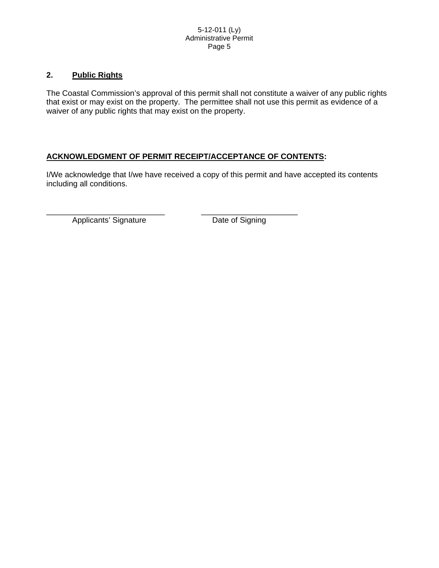## **2. Public Rights**

The Coastal Commission's approval of this permit shall not constitute a waiver of any public rights that exist or may exist on the property. The permittee shall not use this permit as evidence of a waiver of any public rights that may exist on the property.

# **ACKNOWLEDGMENT OF PERMIT RECEIPT/ACCEPTANCE OF CONTENTS:**

I/We acknowledge that I/we have received a copy of this permit and have accepted its contents including all conditions.

\_\_\_\_\_\_\_\_\_\_\_\_\_\_\_\_\_\_\_\_\_\_\_\_\_\_\_ \_\_\_\_\_\_\_\_\_\_\_\_\_\_\_\_\_\_\_\_\_\_ Applicants' Signature Date of Signing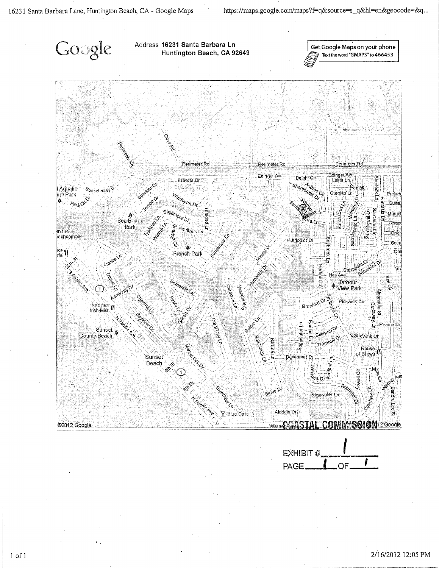

EXHIBIT # **PAGE** OF

 $1$  of  $1$